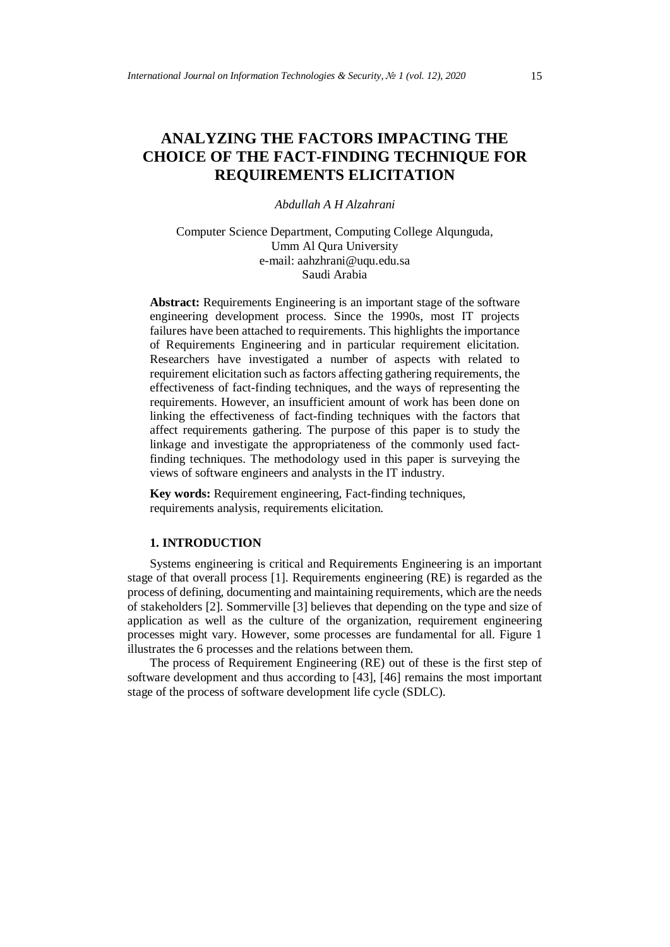# **ANALYZING THE FACTORS IMPACTING THE CHOICE OF THE FACT-FINDING TECHNIQUE FOR REQUIREMENTS ELICITATION**

# *Abdullah A H Alzahrani*

Computer Science Department, Computing College Alqunguda, Umm Al Qura University e-mail: aahzhrani@uqu.edu.sa Saudi Arabia

Abstract: Requirements Engineering is an important stage of the software engineering development process. Since the 1990s, most IT projects failures have been attached to requirements. This highlights the importance of Requirements Engineering and in particular requirement elicitation. Researchers have investigated a number of aspects with related to requirement elicitation such as factors affecting gathering requirements, the effectiveness of fact-finding techniques, and the ways of representing the requirements. However, an insufficient amount of work has been done on linking the effectiveness of fact-finding techniques with the factors that affect requirements gathering. The purpose of this paper is to study the linkage and investigate the appropriateness of the commonly used factfinding techniques. The methodology used in this paper is surveying the views of software engineers and analysts in the IT industry.

**Key words:** Requirement engineering, Fact-finding techniques, requirements analysis, requirements elicitation.

#### **1. INTRODUCTION**

Systems engineering is critical and Requirements Engineering is an important stage of that overall process [1]. Requirements engineering (RE) is regarded as the process of defining, documenting and maintaining requirements, which are the needs of stakeholders [2]. Sommerville [3] believes that depending on the type and size of application as well as the culture of the organization, requirement engineering processes might vary. However, some processes are fundamental for all. Figure 1 illustrates the 6 processes and the relations between them.

The process of Requirement Engineering (RE) out of these is the first step of software development and thus according to [43], [46] remains the most important stage of the process of software development life cycle (SDLC).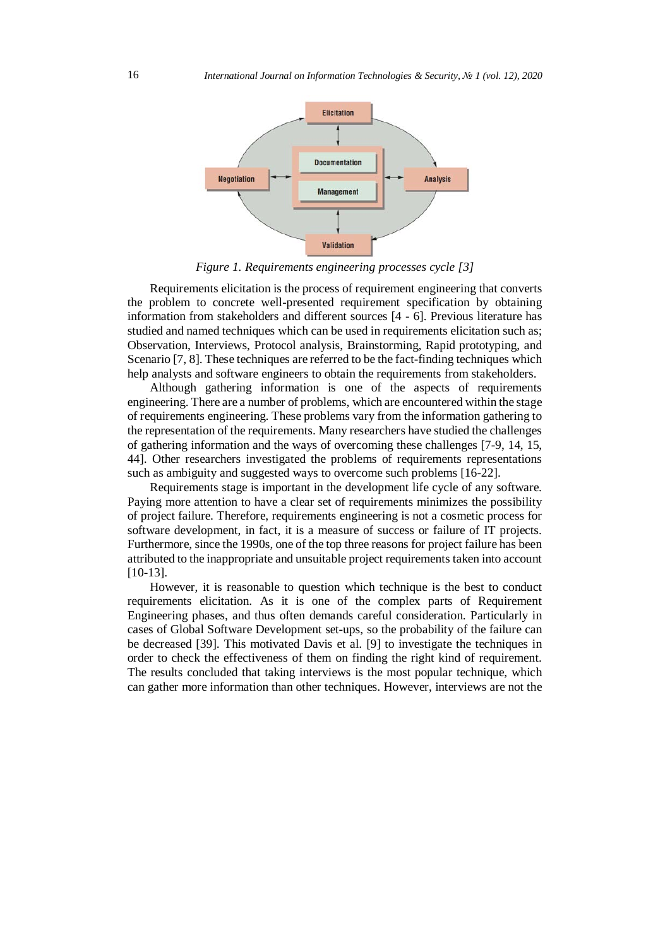

*Figure 1. Requirements engineering processes cycle [3]*

Requirements elicitation is the process of requirement engineering that converts the problem to concrete well-presented requirement specification by obtaining information from stakeholders and different sources [4 - 6]. Previous literature has studied and named techniques which can be used in requirements elicitation such as; Observation, Interviews, Protocol analysis, Brainstorming, Rapid prototyping, and Scenario [7, 8]. These techniques are referred to be the fact-finding techniques which help analysts and software engineers to obtain the requirements from stakeholders.

Although gathering information is one of the aspects of requirements engineering. There are a number of problems, which are encountered within the stage of requirements engineering. These problems vary from the information gathering to the representation of the requirements. Many researchers have studied the challenges of gathering information and the ways of overcoming these challenges [7-9, 14, 15, 44]. Other researchers investigated the problems of requirements representations such as ambiguity and suggested ways to overcome such problems [16-22].

Requirements stage is important in the development life cycle of any software. Paying more attention to have a clear set of requirements minimizes the possibility of project failure. Therefore, requirements engineering is not a cosmetic process for software development, in fact, it is a measure of success or failure of IT projects. Furthermore, since the 1990s, one of the top three reasons for project failure has been attributed to the inappropriate and unsuitable project requirements taken into account [10-13].

However, it is reasonable to question which technique is the best to conduct requirements elicitation. As it is one of the complex parts of Requirement Engineering phases, and thus often demands careful consideration. Particularly in cases of Global Software Development set-ups, so the probability of the failure can be decreased [39]. This motivated Davis et al. [9] to investigate the techniques in order to check the effectiveness of them on finding the right kind of requirement. The results concluded that taking interviews is the most popular technique, which can gather more information than other techniques. However, interviews are not the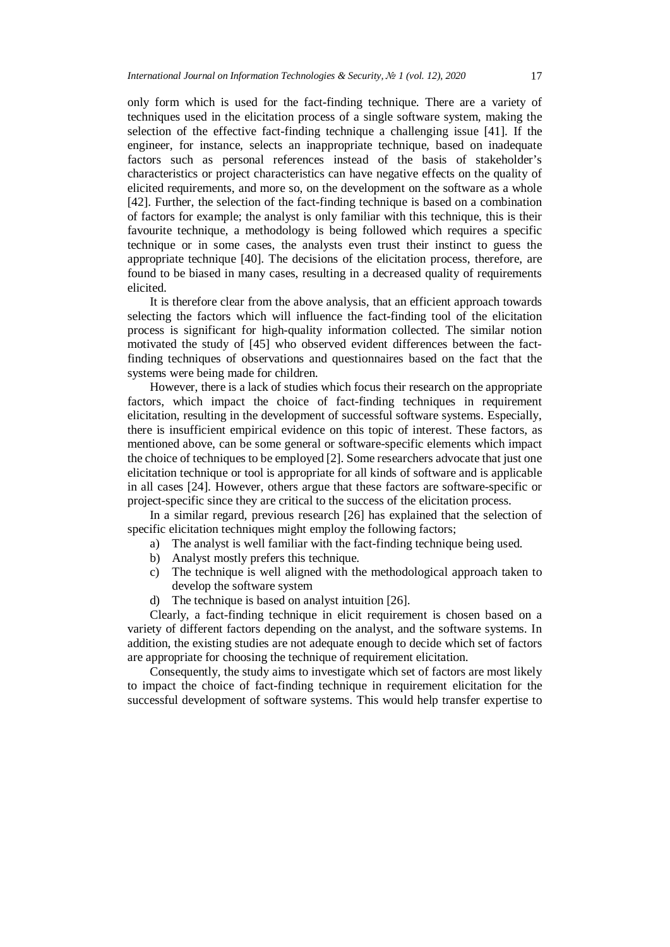only form which is used for the fact-finding technique. There are a variety of techniques used in the elicitation process of a single software system, making the selection of the effective fact-finding technique a challenging issue [41]. If the engineer, for instance, selects an inappropriate technique, based on inadequate factors such as personal references instead of the basis of stakeholder's characteristics or project characteristics can have negative effects on the quality of elicited requirements, and more so, on the development on the software as a whole [42]. Further, the selection of the fact-finding technique is based on a combination of factors for example; the analyst is only familiar with this technique, this is their favourite technique, a methodology is being followed which requires a specific technique or in some cases, the analysts even trust their instinct to guess the appropriate technique [40]. The decisions of the elicitation process, therefore, are found to be biased in many cases, resulting in a decreased quality of requirements elicited.

It is therefore clear from the above analysis, that an efficient approach towards selecting the factors which will influence the fact-finding tool of the elicitation process is significant for high-quality information collected. The similar notion motivated the study of [45] who observed evident differences between the factfinding techniques of observations and questionnaires based on the fact that the systems were being made for children.

However, there is a lack of studies which focus their research on the appropriate factors, which impact the choice of fact-finding techniques in requirement elicitation, resulting in the development of successful software systems. Especially, there is insufficient empirical evidence on this topic of interest. These factors, as mentioned above, can be some general or software-specific elements which impact the choice of techniques to be employed [2]. Some researchers advocate that just one elicitation technique or tool is appropriate for all kinds of software and is applicable in all cases [24]. However, others argue that these factors are software-specific or project-specific since they are critical to the success of the elicitation process.

In a similar regard, previous research [26] has explained that the selection of specific elicitation techniques might employ the following factors;

a) The analyst is well familiar with the fact-finding technique being used.

- b) Analyst mostly prefers this technique.
- c) The technique is well aligned with the methodological approach taken to develop the software system
- d) The technique is based on analyst intuition [26].

Clearly, a fact-finding technique in elicit requirement is chosen based on a variety of different factors depending on the analyst, and the software systems. In addition, the existing studies are not adequate enough to decide which set of factors are appropriate for choosing the technique of requirement elicitation.

Consequently, the study aims to investigate which set of factors are most likely to impact the choice of fact-finding technique in requirement elicitation for the successful development of software systems. This would help transfer expertise to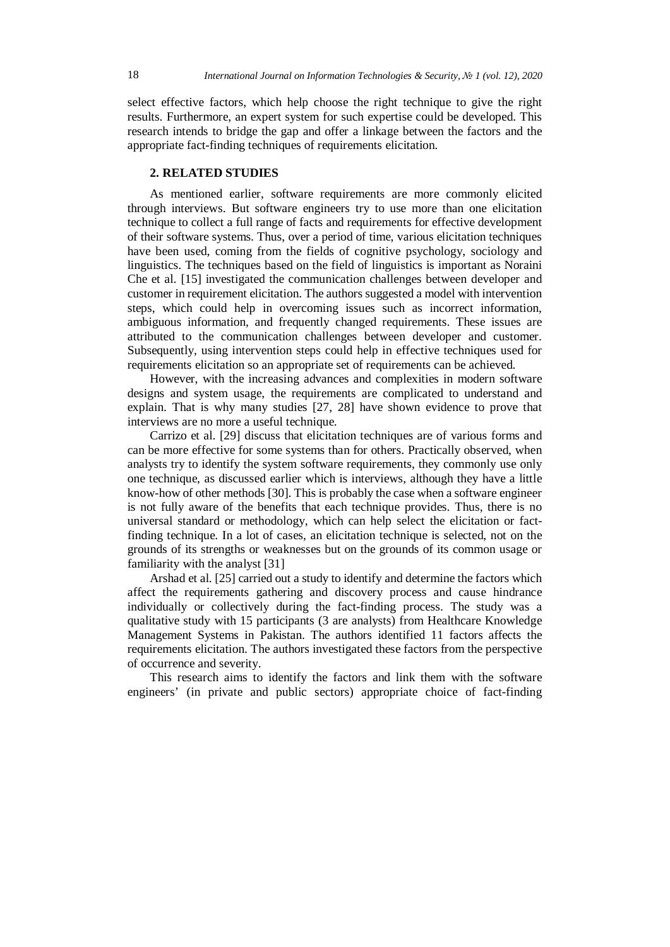select effective factors, which help choose the right technique to give the right results. Furthermore, an expert system for such expertise could be developed. This research intends to bridge the gap and offer a linkage between the factors and the appropriate fact-finding techniques of requirements elicitation.

# **2. RELATED STUDIES**

As mentioned earlier, software requirements are more commonly elicited through interviews. But software engineers try to use more than one elicitation technique to collect a full range of facts and requirements for effective development of their software systems. Thus, over a period of time, various elicitation techniques have been used, coming from the fields of cognitive psychology, sociology and linguistics. The techniques based on the field of linguistics is important as Noraini Che et al. [15] investigated the communication challenges between developer and customer in requirement elicitation. The authors suggested a model with intervention steps, which could help in overcoming issues such as incorrect information, ambiguous information, and frequently changed requirements. These issues are attributed to the communication challenges between developer and customer. Subsequently, using intervention steps could help in effective techniques used for requirements elicitation so an appropriate set of requirements can be achieved.

However, with the increasing advances and complexities in modern software designs and system usage, the requirements are complicated to understand and explain. That is why many studies [27, 28] have shown evidence to prove that interviews are no more a useful technique.

Carrizo et al. [29] discuss that elicitation techniques are of various forms and can be more effective for some systems than for others. Practically observed, when analysts try to identify the system software requirements, they commonly use only one technique, as discussed earlier which is interviews, although they have a little know-how of other methods [30]. This is probably the case when a software engineer is not fully aware of the benefits that each technique provides. Thus, there is no universal standard or methodology, which can help select the elicitation or factfinding technique. In a lot of cases, an elicitation technique is selected, not on the grounds of its strengths or weaknesses but on the grounds of its common usage or familiarity with the analyst [31]

Arshad et al. [25] carried out a study to identify and determine the factors which affect the requirements gathering and discovery process and cause hindrance individually or collectively during the fact-finding process. The study was a qualitative study with 15 participants (3 are analysts) from Healthcare Knowledge Management Systems in Pakistan. The authors identified 11 factors affects the requirements elicitation. The authors investigated these factors from the perspective of occurrence and severity.

This research aims to identify the factors and link them with the software engineers' (in private and public sectors) appropriate choice of fact-finding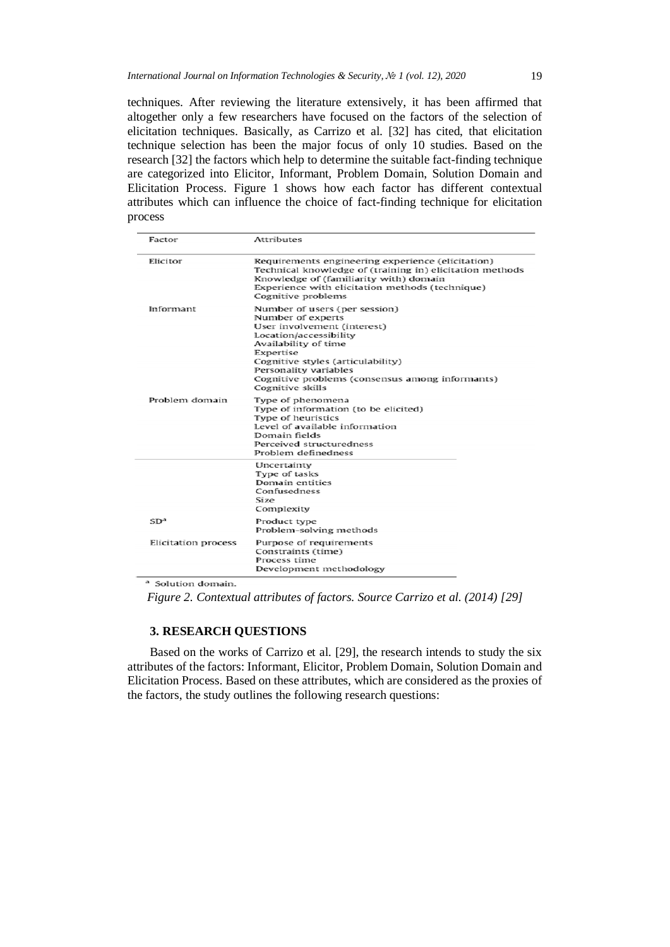techniques. After reviewing the literature extensively, it has been affirmed that altogether only a few researchers have focused on the factors of the selection of elicitation techniques. Basically, as Carrizo et al. [32] has cited, that elicitation technique selection has been the major focus of only 10 studies. Based on the research [32] the factors which help to determine the suitable fact-finding technique are categorized into Elicitor, Informant, Problem Domain, Solution Domain and Elicitation Process. Figure 1 shows how each factor has different contextual attributes which can influence the choice of fact-finding technique for elicitation process

| Factor              | <b>Attributes</b>                                                                                                                                                                                                                                                                     |  |  |  |
|---------------------|---------------------------------------------------------------------------------------------------------------------------------------------------------------------------------------------------------------------------------------------------------------------------------------|--|--|--|
| Elicitor            | Requirements engineering experience (elicitation)<br>Technical knowledge of (training in) elicitation methods<br>Knowledge of (familiarity with) domain<br>Experience with elicitation methods (technique)<br>Cognitive problems                                                      |  |  |  |
| Informant           | Number of users (per session)<br>Number of experts<br>User involvement (interest)<br>Location/accessibility<br>Availability of time<br>Expertise<br>Cognitive styles (articulability)<br>Personality variables<br>Cognitive problems (consensus among informants)<br>Cognitive skills |  |  |  |
| Problem domain      | Type of phenomena<br>Type of information (to be elicited)<br>Type of heuristics<br>Level of available information<br>Domain fields<br>Perceived structuredness<br>Problem definedness                                                                                                 |  |  |  |
|                     | Uncertainty<br>Type of tasks<br>Domain entities<br>Confusedness<br>Size<br>Complexity                                                                                                                                                                                                 |  |  |  |
| SD <sup>a</sup>     | Product type<br>Problem-solving methods                                                                                                                                                                                                                                               |  |  |  |
| Elicitation process | Purpose of requirements<br>Constraints (time)<br>Process time<br>Development methodology                                                                                                                                                                                              |  |  |  |

<sup>a</sup> Solution domain.

*Figure 2. Contextual attributes of factors. Source Carrizo et al. (2014) [29]*

#### **3. RESEARCH QUESTIONS**

Based on the works of Carrizo et al. [29], the research intends to study the six attributes of the factors: Informant, Elicitor, Problem Domain, Solution Domain and Elicitation Process. Based on these attributes, which are considered as the proxies of the factors, the study outlines the following research questions: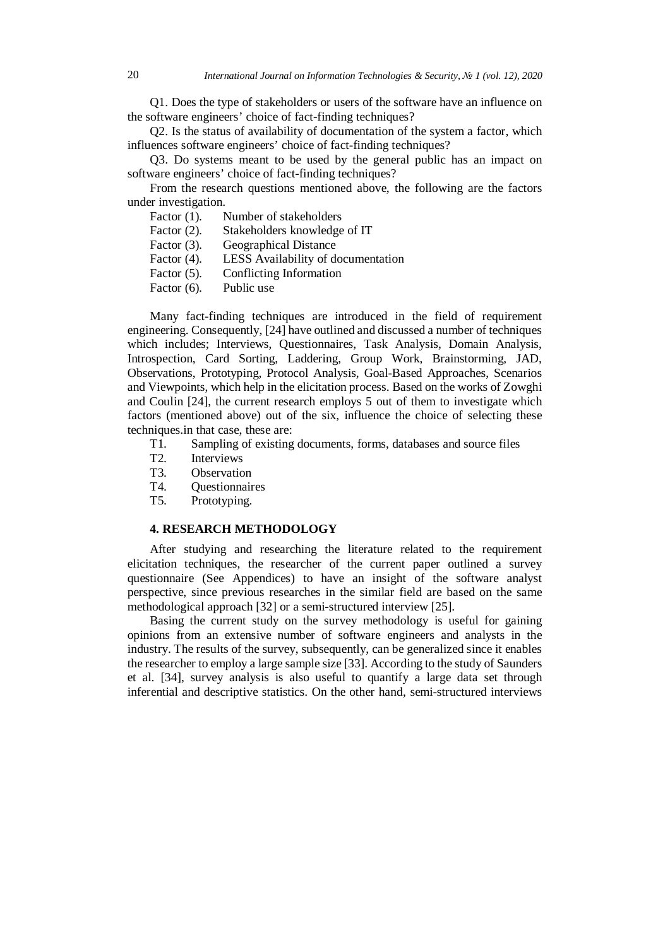Q1. Does the type of stakeholders or users of the software have an influence on the software engineers' choice of fact-finding techniques?

Q2. Is the status of availability of documentation of the system a factor, which influences software engineers' choice of fact-finding techniques?

Q3. Do systems meant to be used by the general public has an impact on software engineers' choice of fact-finding techniques?

From the research questions mentioned above, the following are the factors under investigation.

Factor (1). Number of stakeholders

Factor (2). Stakeholders knowledge of IT

Factor (3). Geographical Distance

- Factor (4). LESS Availability of documentation
- Factor (5). Conflicting Information
- Factor (6). Public use

Many fact-finding techniques are introduced in the field of requirement engineering. Consequently, [24] have outlined and discussed a number of techniques which includes; Interviews, Questionnaires, Task Analysis, Domain Analysis, Introspection, Card Sorting, Laddering, Group Work, Brainstorming, JAD, Observations, Prototyping, Protocol Analysis, Goal-Based Approaches, Scenarios and Viewpoints, which help in the elicitation process. Based on the works of Zowghi and Coulin [24], the current research employs 5 out of them to investigate which factors (mentioned above) out of the six, influence the choice of selecting these techniques.in that case, these are:

- T1. Sampling of existing documents, forms, databases and source files
- T2. Interviews
- T3. Observation
- T4. Questionnaires
- T5. Prototyping.

#### **4. RESEARCH METHODOLOGY**

After studying and researching the literature related to the requirement elicitation techniques, the researcher of the current paper outlined a survey questionnaire (See Appendices) to have an insight of the software analyst perspective, since previous researches in the similar field are based on the same methodological approach [32] or a semi-structured interview [25].

Basing the current study on the survey methodology is useful for gaining opinions from an extensive number of software engineers and analysts in the industry. The results of the survey, subsequently, can be generalized since it enables the researcher to employ a large sample size [33]. According to the study of Saunders et al. [34], survey analysis is also useful to quantify a large data set through inferential and descriptive statistics. On the other hand, semi-structured interviews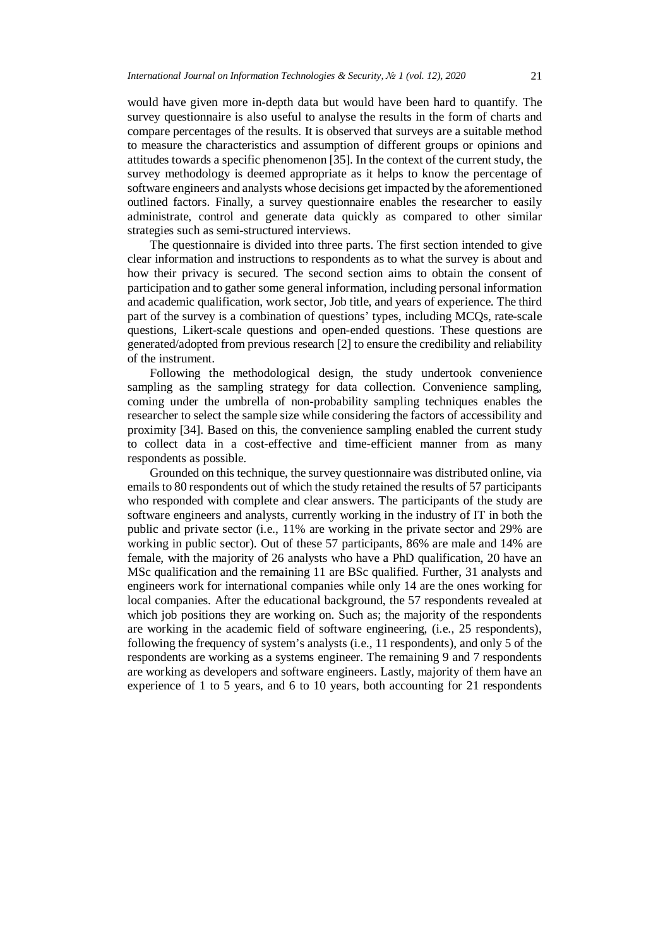would have given more in-depth data but would have been hard to quantify. The survey questionnaire is also useful to analyse the results in the form of charts and compare percentages of the results. It is observed that surveys are a suitable method to measure the characteristics and assumption of different groups or opinions and attitudes towards a specific phenomenon [35]. In the context of the current study, the survey methodology is deemed appropriate as it helps to know the percentage of software engineers and analysts whose decisions get impacted by the aforementioned outlined factors. Finally, a survey questionnaire enables the researcher to easily administrate, control and generate data quickly as compared to other similar strategies such as semi-structured interviews.

The questionnaire is divided into three parts. The first section intended to give clear information and instructions to respondents as to what the survey is about and how their privacy is secured. The second section aims to obtain the consent of participation and to gather some general information, including personal information and academic qualification, work sector, Job title, and years of experience. The third part of the survey is a combination of questions' types, including MCQs, rate-scale questions, Likert-scale questions and open-ended questions. These questions are generated/adopted from previous research [2] to ensure the credibility and reliability of the instrument.

Following the methodological design, the study undertook convenience sampling as the sampling strategy for data collection. Convenience sampling, coming under the umbrella of non-probability sampling techniques enables the researcher to select the sample size while considering the factors of accessibility and proximity [34]. Based on this, the convenience sampling enabled the current study to collect data in a cost-effective and time-efficient manner from as many respondents as possible.

Grounded on this technique, the survey questionnaire was distributed online, via emails to 80 respondents out of which the study retained the results of 57 participants who responded with complete and clear answers. The participants of the study are software engineers and analysts, currently working in the industry of IT in both the public and private sector (i.e., 11% are working in the private sector and 29% are working in public sector). Out of these 57 participants, 86% are male and 14% are female, with the majority of 26 analysts who have a PhD qualification, 20 have an MSc qualification and the remaining 11 are BSc qualified. Further, 31 analysts and engineers work for international companies while only 14 are the ones working for local companies. After the educational background, the 57 respondents revealed at which job positions they are working on. Such as; the majority of the respondents are working in the academic field of software engineering, (i.e., 25 respondents), following the frequency of system's analysts (i.e., 11 respondents), and only 5 of the respondents are working as a systems engineer. The remaining 9 and 7 respondents are working as developers and software engineers. Lastly, majority of them have an experience of 1 to 5 years, and 6 to 10 years, both accounting for 21 respondents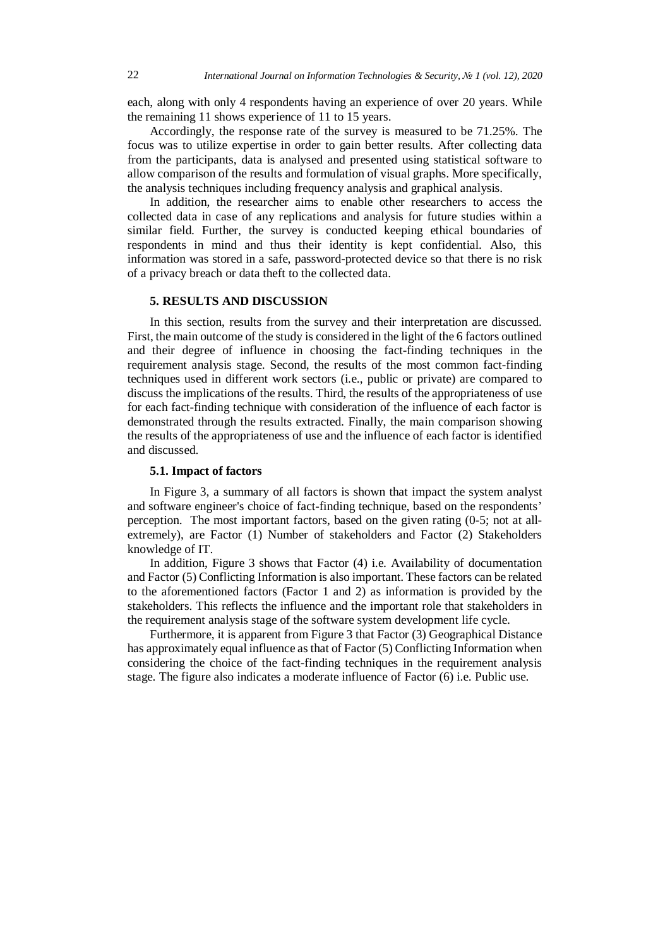each, along with only 4 respondents having an experience of over 20 years. While the remaining 11 shows experience of 11 to 15 years.

Accordingly, the response rate of the survey is measured to be 71.25%. The focus was to utilize expertise in order to gain better results. After collecting data from the participants, data is analysed and presented using statistical software to allow comparison of the results and formulation of visual graphs. More specifically, the analysis techniques including frequency analysis and graphical analysis.

In addition, the researcher aims to enable other researchers to access the collected data in case of any replications and analysis for future studies within a similar field. Further, the survey is conducted keeping ethical boundaries of respondents in mind and thus their identity is kept confidential. Also, this information was stored in a safe, password-protected device so that there is no risk of a privacy breach or data theft to the collected data.

### **5. RESULTS AND DISCUSSION**

In this section, results from the survey and their interpretation are discussed. First, the main outcome of the study is considered in the light of the 6 factors outlined and their degree of influence in choosing the fact-finding techniques in the requirement analysis stage. Second, the results of the most common fact-finding techniques used in different work sectors (i.e., public or private) are compared to discuss the implications of the results. Third, the results of the appropriateness of use for each fact-finding technique with consideration of the influence of each factor is demonstrated through the results extracted. Finally, the main comparison showing the results of the appropriateness of use and the influence of each factor is identified and discussed.

## **5.1. Impact of factors**

In Figure 3, a summary of all factors is shown that impact the system analyst and software engineer's choice of fact-finding technique, based on the respondents' perception. The most important factors, based on the given rating (0-5; not at allextremely), are Factor (1) Number of stakeholders and Factor (2) Stakeholders knowledge of IT.

In addition, Figure 3 shows that Factor (4) i.e. Availability of documentation and Factor (5) Conflicting Information is also important. These factors can be related to the aforementioned factors (Factor 1 and 2) as information is provided by the stakeholders. This reflects the influence and the important role that stakeholders in the requirement analysis stage of the software system development life cycle.

Furthermore, it is apparent from Figure 3 that Factor (3) Geographical Distance has approximately equal influence as that of Factor (5) Conflicting Information when considering the choice of the fact-finding techniques in the requirement analysis stage. The figure also indicates a moderate influence of Factor (6) i.e. Public use.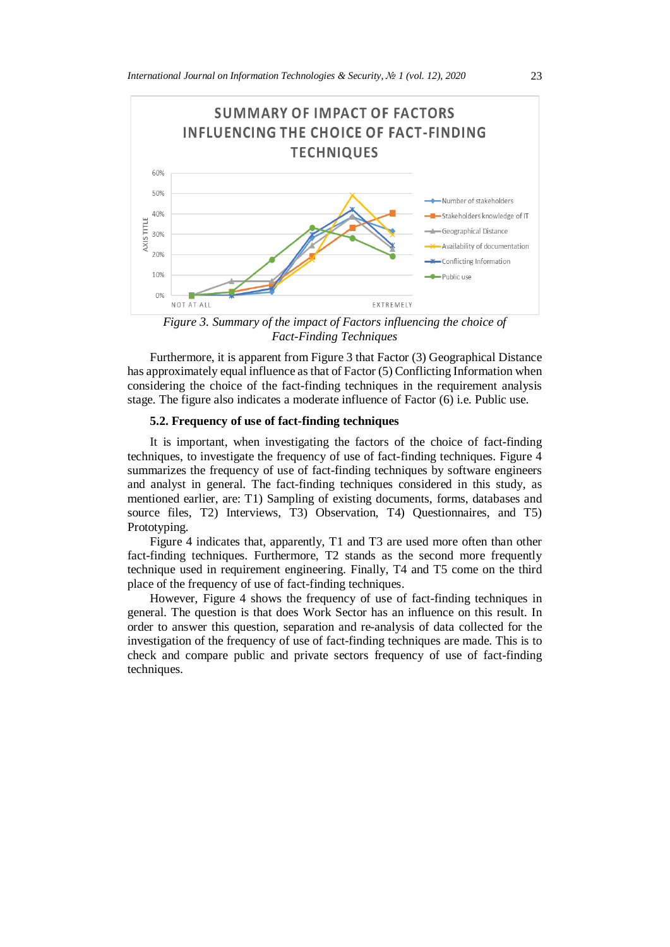

*Figure 3. Summary of the impact of Factors influencing the choice of Fact-Finding Techniques*

Furthermore, it is apparent from Figure 3 that Factor (3) Geographical Distance has approximately equal influence as that of Factor (5) Conflicting Information when considering the choice of the fact-finding techniques in the requirement analysis stage. The figure also indicates a moderate influence of Factor  $(6)$  i.e. Public use.

## **5.2. Frequency of use of fact-finding techniques**

It is important, when investigating the factors of the choice of fact-finding techniques, to investigate the frequency of use of fact-finding techniques. Figure 4 summarizes the frequency of use of fact-finding techniques by software engineers and analyst in general. The fact-finding techniques considered in this study, as mentioned earlier, are: T1) Sampling of existing documents, forms, databases and source files, T2) Interviews, T3) Observation, T4) Ouestionnaires, and T5) Prototyping.

Figure 4 indicates that, apparently, T1 and T3 are used more often than other fact-finding techniques. Furthermore, T2 stands as the second more frequently technique used in requirement engineering. Finally, T4 and T5 come on the third place of the frequency of use of fact-finding techniques.

However, Figure 4 shows the frequency of use of fact-finding techniques in general. The question is that does Work Sector has an influence on this result. In order to answer this question, separation and re-analysis of data collected for the investigation of the frequency of use of fact-finding techniques are made. This is to check and compare public and private sectors frequency of use of fact-finding techniques.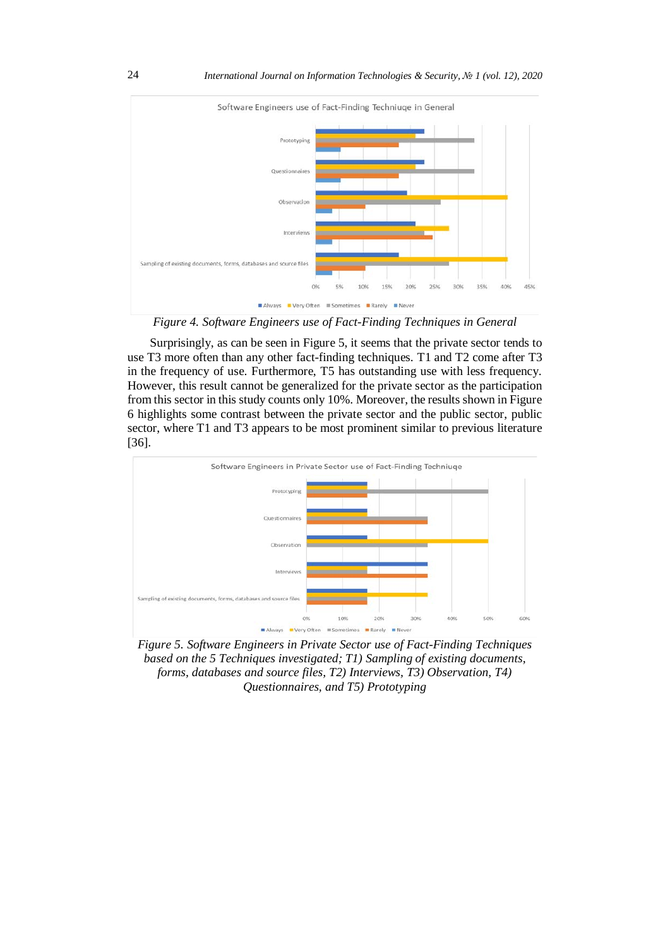

*Figure 4. Software Engineers use of Fact-Finding Techniques in General*

Surprisingly, as can be seen in Figure 5, it seems that the private sector tends to use T3 more often than any other fact-finding techniques. T1 and T2 come after T3 in the frequency of use. Furthermore, T5 has outstanding use with less frequency. However, this result cannot be generalized for the private sector as the participation from this sector in this study counts only 10%. Moreover, the results shown in Figure 6 highlights some contrast between the private sector and the public sector, public sector, where T1 and T3 appears to be most prominent similar to previous literature [36].



*Figure 5. Software Engineers in Private Sector use of Fact-Finding Techniques based on the 5 Techniques investigated; T1) Sampling of existing documents, forms, databases and source files, T2) Interviews, T3) Observation, T4) Questionnaires, and T5) Prototyping*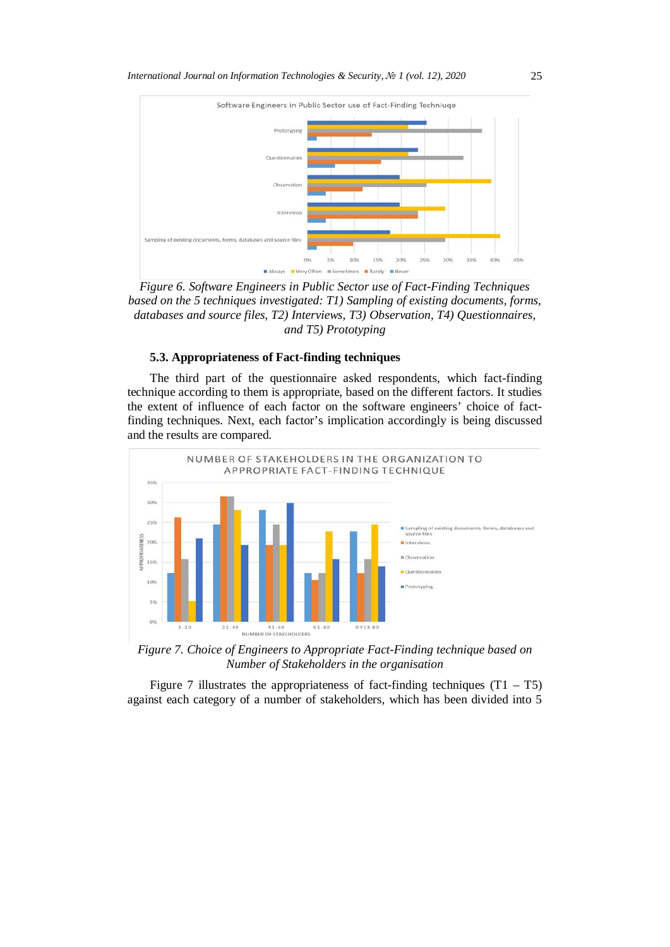

*Figure 6. Software Engineers in Public Sector use of Fact-Finding Techniques based on the 5 techniques investigated: T1) Sampling of existing documents, forms, databases and source files, T2) Interviews, T3) Observation, T4) Questionnaires, and T5) Prototyping*

#### **5.3. Appropriateness of Fact-finding techniques**

The third part of the questionnaire asked respondents, which fact-finding technique according to them is appropriate, based on the different factors. It studies the extent of influence of each factor on the software engineers' choice of factfinding techniques. Next, each factor's implication accordingly is being discussed and the results are compared.



*Figure 7. Choice of Engineers to Appropriate Fact-Finding technique based on Number of Stakeholders in the organisation*

Figure 7 illustrates the appropriateness of fact-finding techniques  $(T1 - T5)$ against each category of a number of stakeholders, which has been divided into 5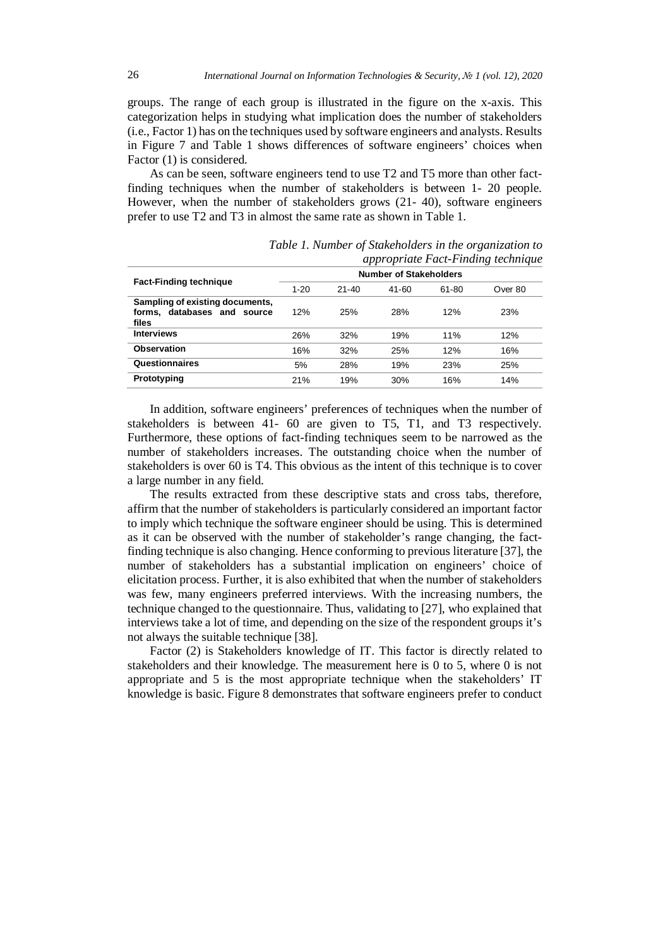groups. The range of each group is illustrated in the figure on the x-axis. This categorization helps in studying what implication does the number of stakeholders (i.e., Factor 1) has on the techniques used by software engineers and analysts. Results in Figure 7 and Table 1 shows differences of software engineers' choices when Factor (1) is considered.

As can be seen, software engineers tend to use T2 and T5 more than other factfinding techniques when the number of stakeholders is between 1- 20 people. However, when the number of stakeholders grows (21- 40), software engineers prefer to use T2 and T3 in almost the same rate as shown in Table 1.

|                                 |                               |           |       |       | appropriate Fact-Finality technique |
|---------------------------------|-------------------------------|-----------|-------|-------|-------------------------------------|
| <b>Fact-Finding technique</b>   | <b>Number of Stakeholders</b> |           |       |       |                                     |
|                                 | $1 - 20$                      | $21 - 40$ | 41-60 | 61-80 | Over 80                             |
| Sampling of existing documents, |                               |           |       |       |                                     |
| forms, databases and source     | 12%                           | 25%       | 28%   | 12%   | 23%                                 |
| files                           |                               |           |       |       |                                     |
| <b>Interviews</b>               | 26%                           | 32%       | 19%   | 11%   | 12%                                 |
| <b>Observation</b>              | 16%                           | 32%       | 25%   | 12%   | 16%                                 |
| Questionnaires                  | 5%                            | 28%       | 19%   | 23%   | 25%                                 |
| Prototyping                     | 21%                           | 19%       | 30%   | 16%   | 14%                                 |

*Table 1. Number of Stakeholders in the organization to appropriate Fact-Finding technique*

In addition, software engineers' preferences of techniques when the number of stakeholders is between 41- 60 are given to T5, T1, and T3 respectively. Furthermore, these options of fact-finding techniques seem to be narrowed as the number of stakeholders increases. The outstanding choice when the number of stakeholders is over 60 is T4. This obvious as the intent of this technique is to cover a large number in any field.

The results extracted from these descriptive stats and cross tabs, therefore, affirm that the number of stakeholders is particularly considered an important factor to imply which technique the software engineer should be using. This is determined as it can be observed with the number of stakeholder's range changing, the factfinding technique is also changing. Hence conforming to previous literature [37], the number of stakeholders has a substantial implication on engineers' choice of elicitation process. Further, it is also exhibited that when the number of stakeholders was few, many engineers preferred interviews. With the increasing numbers, the technique changed to the questionnaire. Thus, validating to [27], who explained that interviews take a lot of time, and depending on the size of the respondent groups it's not always the suitable technique [38].

Factor (2) is Stakeholders knowledge of IT. This factor is directly related to stakeholders and their knowledge. The measurement here is 0 to 5, where 0 is not appropriate and 5 is the most appropriate technique when the stakeholders' IT knowledge is basic. Figure 8 demonstrates that software engineers prefer to conduct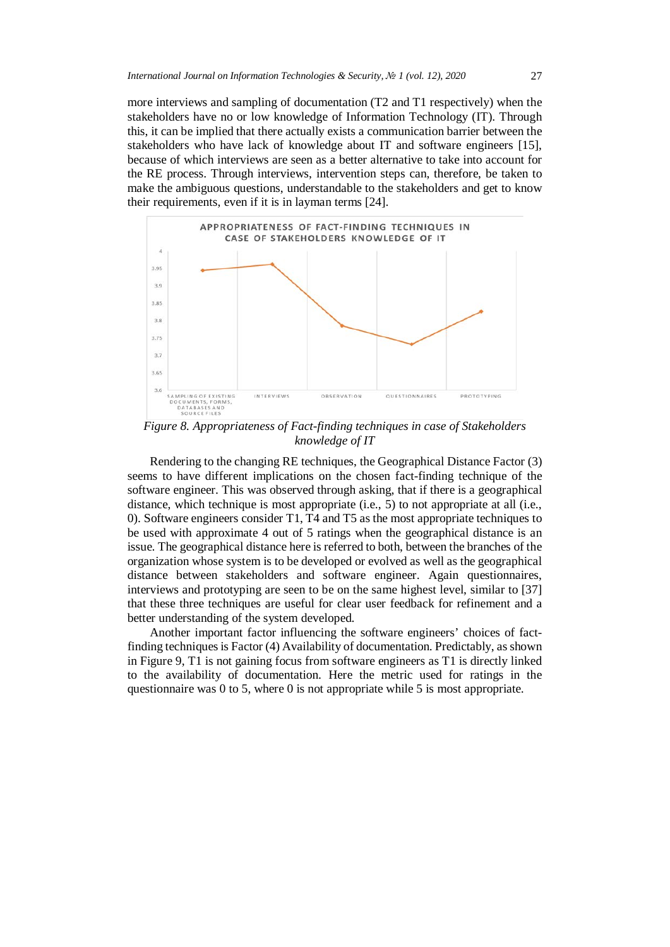more interviews and sampling of documentation (T2 and T1 respectively) when the stakeholders have no or low knowledge of Information Technology (IT). Through this, it can be implied that there actually exists a communication barrier between the stakeholders who have lack of knowledge about IT and software engineers [15], because of which interviews are seen as a better alternative to take into account for the RE process. Through interviews, intervention steps can, therefore, be taken to make the ambiguous questions, understandable to the stakeholders and get to know their requirements, even if it is in layman terms [24].



*Figure 8. Appropriateness of Fact-finding techniques in case of Stakeholders knowledge of IT*

Rendering to the changing RE techniques, the Geographical Distance Factor (3) seems to have different implications on the chosen fact-finding technique of the software engineer. This was observed through asking, that if there is a geographical distance, which technique is most appropriate (i.e., 5) to not appropriate at all (i.e., 0). Software engineers consider T1, T4 and T5 as the most appropriate techniques to be used with approximate 4 out of 5 ratings when the geographical distance is an issue. The geographical distance here is referred to both, between the branches of the organization whose system is to be developed or evolved as well as the geographical distance between stakeholders and software engineer. Again questionnaires, interviews and prototyping are seen to be on the same highest level, similar to [37] that these three techniques are useful for clear user feedback for refinement and a better understanding of the system developed.

Another important factor influencing the software engineers' choices of factfinding techniques is Factor (4) Availability of documentation. Predictably, as shown in Figure 9, T1 is not gaining focus from software engineers as T1 is directly linked to the availability of documentation. Here the metric used for ratings in the questionnaire was 0 to 5, where 0 is not appropriate while 5 is most appropriate.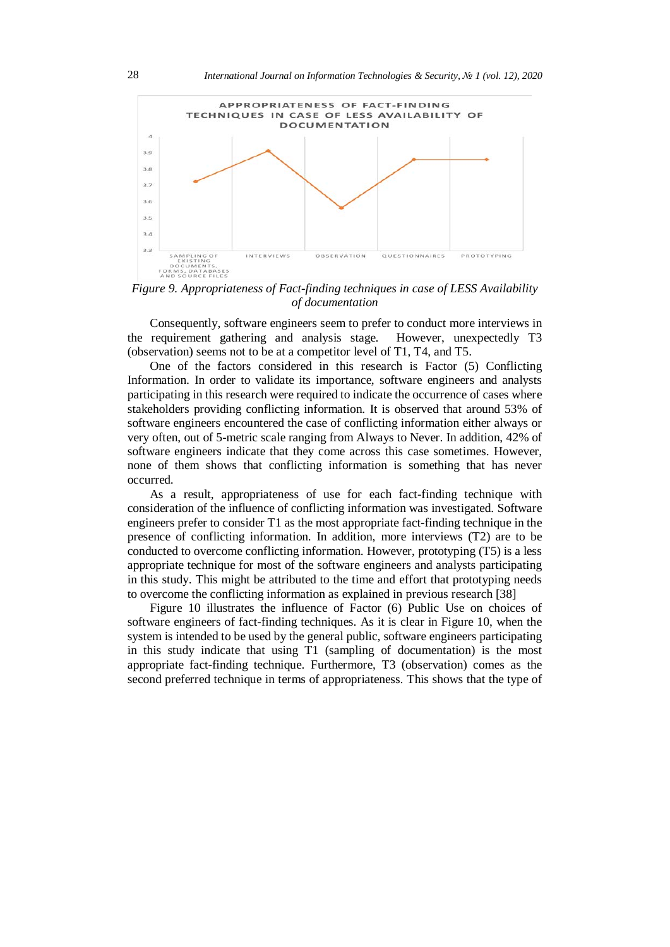

*Figure 9. Appropriateness of Fact-finding techniques in case of LESS Availability of documentation*

Consequently, software engineers seem to prefer to conduct more interviews in the requirement gathering and analysis stage. However, unexpectedly T3 (observation) seems not to be at a competitor level of T1, T4, and T5.

One of the factors considered in this research is Factor (5) Conflicting Information. In order to validate its importance, software engineers and analysts participating in this research were required to indicate the occurrence of cases where stakeholders providing conflicting information. It is observed that around 53% of software engineers encountered the case of conflicting information either always or very often, out of 5-metric scale ranging from Always to Never. In addition, 42% of software engineers indicate that they come across this case sometimes. However, none of them shows that conflicting information is something that has never occurred.

As a result, appropriateness of use for each fact-finding technique with consideration of the influence of conflicting information was investigated. Software engineers prefer to consider T1 as the most appropriate fact-finding technique in the presence of conflicting information. In addition, more interviews (T2) are to be conducted to overcome conflicting information. However, prototyping (T5) is a less appropriate technique for most of the software engineers and analysts participating in this study. This might be attributed to the time and effort that prototyping needs to overcome the conflicting information as explained in previous research [38]

Figure 10 illustrates the influence of Factor (6) Public Use on choices of software engineers of fact-finding techniques. As it is clear in Figure 10, when the system is intended to be used by the general public, software engineers participating in this study indicate that using T1 (sampling of documentation) is the most appropriate fact-finding technique. Furthermore, T3 (observation) comes as the second preferred technique in terms of appropriateness. This shows that the type of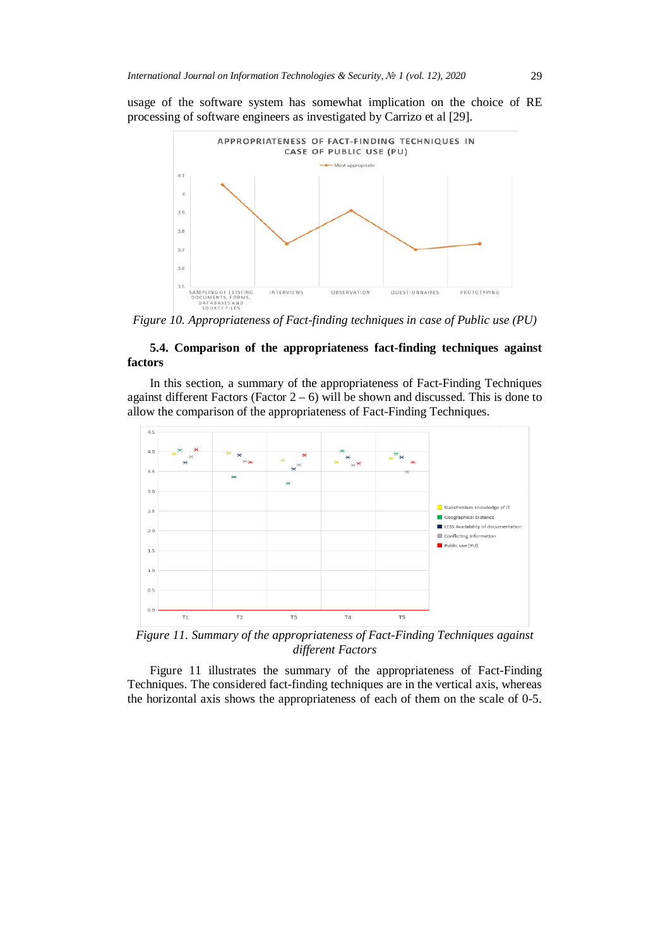usage of the software system has somewhat implication on the choice of RE processing of software engineers as investigated by Carrizo et al [29].



*Figure 10. Appropriateness of Fact-finding techniques in case of Public use (PU)*

# **5.4. Comparison of the appropriateness fact-finding techniques against factors**

In this section, a summary of the appropriateness of Fact-Finding Techniques against different Factors (Factor  $2 - 6$ ) will be shown and discussed. This is done to allow the comparison of the appropriateness of Fact-Finding Techniques.



*Figure 11. Summary of the appropriateness of Fact-Finding Techniques against different Factors*

Figure 11 illustrates the summary of the appropriateness of Fact-Finding Techniques. The considered fact-finding techniques are in the vertical axis, whereas the horizontal axis shows the appropriateness of each of them on the scale of 0-5.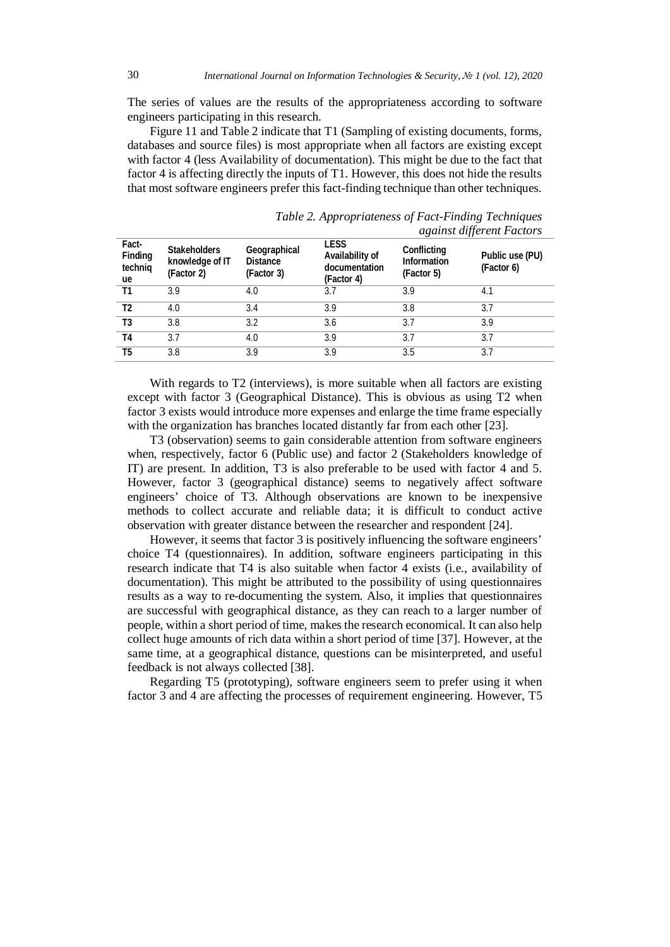The series of values are the results of the appropriateness according to software engineers participating in this research.

Figure 11 and Table 2 indicate that T1 (Sampling of existing documents, forms, databases and source files) is most appropriate when all factors are existing except with factor 4 (less Availability of documentation). This might be due to the fact that factor 4 is affecting directly the inputs of T1. However, this does not hide the results that most software engineers prefer this fact-finding technique than other techniques.

| Fact-<br>Finding<br>techniq<br>ue | <b>Stakeholders</b><br>knowledge of IT<br>(Factor 2) | Geographical<br><b>Distance</b><br>(Factor 3) | <b>LESS</b><br>Availability of<br>documentation<br>(Factor 4) | . .<br>Conflicting<br>Information<br>(Factor 5) | Public use (PU)<br>(Factor 6) |
|-----------------------------------|------------------------------------------------------|-----------------------------------------------|---------------------------------------------------------------|-------------------------------------------------|-------------------------------|
| Τ1                                | 3.9                                                  | 4.0                                           | 3.7                                                           | 3.9                                             | 4.1                           |
| T <sub>2</sub>                    | 4.0                                                  | 3.4                                           | 3.9                                                           | 3.8                                             | 3.7                           |
| T3                                | 3.8                                                  | 3.2                                           | 3.6                                                           | 3.7                                             | 3.9                           |
| T4                                | 3.7                                                  | 4.0                                           | 3.9                                                           | 3.7                                             | 3.7                           |
| T5                                | 3.8                                                  | 3.9                                           | 3.9                                                           | 3.5                                             | 3.7                           |

*Table 2. Appropriateness of Fact-Finding Techniques against different Factors*

With regards to T2 (interviews), is more suitable when all factors are existing except with factor 3 (Geographical Distance). This is obvious as using T2 when factor 3 exists would introduce more expenses and enlarge the time frame especially with the organization has branches located distantly far from each other [23].

T3 (observation) seems to gain considerable attention from software engineers when, respectively, factor 6 (Public use) and factor 2 (Stakeholders knowledge of IT) are present. In addition, T3 is also preferable to be used with factor 4 and 5. However, factor 3 (geographical distance) seems to negatively affect software engineers' choice of T3. Although observations are known to be inexpensive methods to collect accurate and reliable data; it is difficult to conduct active observation with greater distance between the researcher and respondent [24].

However, it seems that factor 3 is positively influencing the software engineers' choice T4 (questionnaires). In addition, software engineers participating in this research indicate that T4 is also suitable when factor 4 exists (i.e., availability of documentation). This might be attributed to the possibility of using questionnaires results as a way to re-documenting the system. Also, it implies that questionnaires are successful with geographical distance, as they can reach to a larger number of people, within a short period of time, makes the research economical. It can also help collect huge amounts of rich data within a short period of time [37]. However, at the same time, at a geographical distance, questions can be misinterpreted, and useful feedback is not always collected [38].

Regarding T5 (prototyping), software engineers seem to prefer using it when factor 3 and 4 are affecting the processes of requirement engineering. However, T5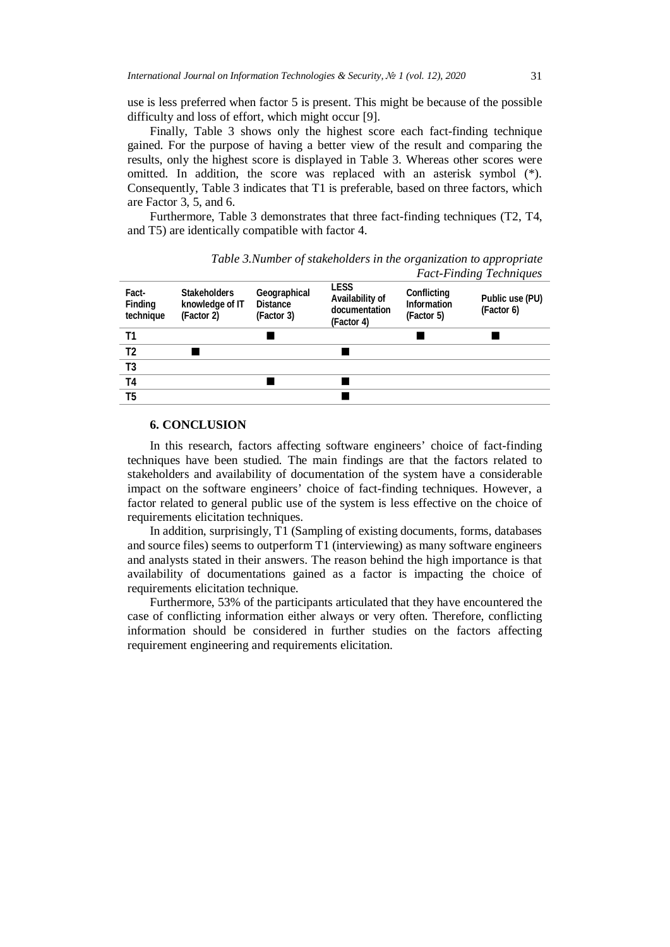use is less preferred when factor 5 is present. This might be because of the possible difficulty and loss of effort, which might occur [9].

Finally. Table 3 shows only the highest score each fact-finding technique gained. For the purpose of having a better view of the result and comparing the results, only the highest score is displayed in Table 3. Whereas other scores were omitted. In addition, the score was replaced with an asterisk symbol (\*). Consequently, Table 3 indicates that T1 is preferable, based on three factors, which are Factor 3, 5, and 6.

Furthermore, Table 3 demonstrates that three fact-finding techniques (T2, T4, and T5) are identically compatible with factor 4.

|                               |                                                      |                                               |                                                               |                                                 | Tuel-Tunang Techniques        |
|-------------------------------|------------------------------------------------------|-----------------------------------------------|---------------------------------------------------------------|-------------------------------------------------|-------------------------------|
| Fact-<br>Finding<br>technique | <b>Stakeholders</b><br>knowledge of IT<br>(Factor 2) | Geographical<br><b>Distance</b><br>(Factor 3) | <b>LESS</b><br>Availability of<br>documentation<br>(Factor 4) | Conflicting<br><b>Information</b><br>(Factor 5) | Public use (PU)<br>(Factor 6) |
| T1                            |                                                      |                                               |                                                               |                                                 |                               |
| T <sub>2</sub>                |                                                      |                                               |                                                               |                                                 |                               |
| T3                            |                                                      |                                               |                                                               |                                                 |                               |
| T <sub>4</sub>                |                                                      |                                               |                                                               |                                                 |                               |
| T <sub>5</sub>                |                                                      |                                               |                                                               |                                                 |                               |
|                               |                                                      |                                               |                                                               |                                                 |                               |

*Table 3.Number of stakeholders in the organization to appropriate Fact-Finding Techniques*

#### **6. CONCLUSION**

In this research, factors affecting software engineers' choice of fact-finding techniques have been studied. The main findings are that the factors related to stakeholders and availability of documentation of the system have a considerable impact on the software engineers' choice of fact-finding techniques. However, a factor related to general public use of the system is less effective on the choice of requirements elicitation techniques.

In addition, surprisingly, T1 (Sampling of existing documents, forms, databases and source files) seems to outperform T1 (interviewing) as many software engineers and analysts stated in their answers. The reason behind the high importance is that availability of documentations gained as a factor is impacting the choice of requirements elicitation technique.

Furthermore, 53% of the participants articulated that they have encountered the case of conflicting information either always or very often. Therefore, conflicting information should be considered in further studies on the factors affecting requirement engineering and requirements elicitation.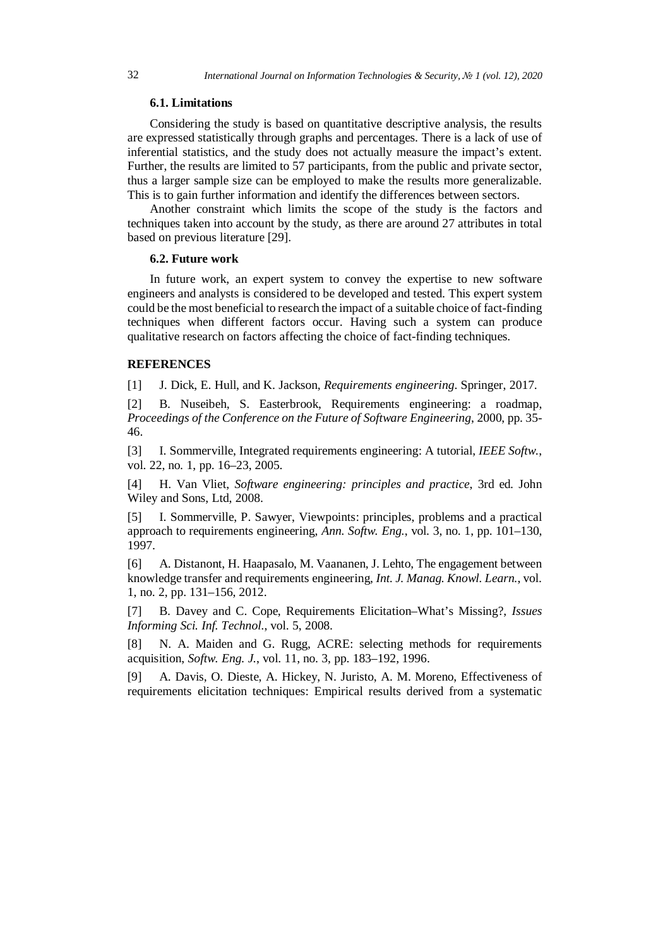#### **6.1. Limitations**

Considering the study is based on quantitative descriptive analysis, the results are expressed statistically through graphs and percentages. There is a lack of use of inferential statistics, and the study does not actually measure the impact's extent. Further, the results are limited to 57 participants, from the public and private sector, thus a larger sample size can be employed to make the results more generalizable. This is to gain further information and identify the differences between sectors.

Another constraint which limits the scope of the study is the factors and techniques taken into account by the study, as there are around 27 attributes in total based on previous literature [29].

#### **6.2. Future work**

In future work, an expert system to convey the expertise to new software engineers and analysts is considered to be developed and tested. This expert system could be the most beneficial to research the impact of a suitable choice of fact-finding techniques when different factors occur. Having such a system can produce qualitative research on factors affecting the choice of fact-finding techniques.

# **REFERENCES**

[1] J. Dick, E. Hull, and K. Jackson, *Requirements engineering*. Springer, 2017.

[2] B. Nuseibeh, S. Easterbrook, Requirements engineering: a roadmap, *Proceedings of the Conference on the Future of Software Engineering*, 2000, pp. 35- 46.

[3] I. Sommerville, Integrated requirements engineering: A tutorial, *IEEE Softw.*, vol. 22, no. 1, pp. 16–23, 2005.

[4] H. Van Vliet, *Software engineering: principles and practice*, 3rd ed. John Wiley and Sons, Ltd, 2008.

[5] I. Sommerville, P. Sawyer, Viewpoints: principles, problems and a practical approach to requirements engineering, *Ann. Softw. Eng.*, vol. 3, no. 1, pp. 101–130, 1997.

[6] A. Distanont, H. Haapasalo, M. Vaananen, J. Lehto, The engagement between knowledge transfer and requirements engineering, *Int. J. Manag. Knowl. Learn.*, vol. 1, no. 2, pp. 131–156, 2012.

[7] B. Davey and C. Cope, Requirements Elicitation–What's Missing?, *Issues Informing Sci. Inf. Technol.*, vol. 5, 2008.

[8] N. A. Maiden and G. Rugg, ACRE: selecting methods for requirements acquisition, *Softw. Eng. J.*, vol. 11, no. 3, pp. 183–192, 1996.

[9] A. Davis, O. Dieste, A. Hickey, N. Juristo, A. M. Moreno, Effectiveness of requirements elicitation techniques: Empirical results derived from a systematic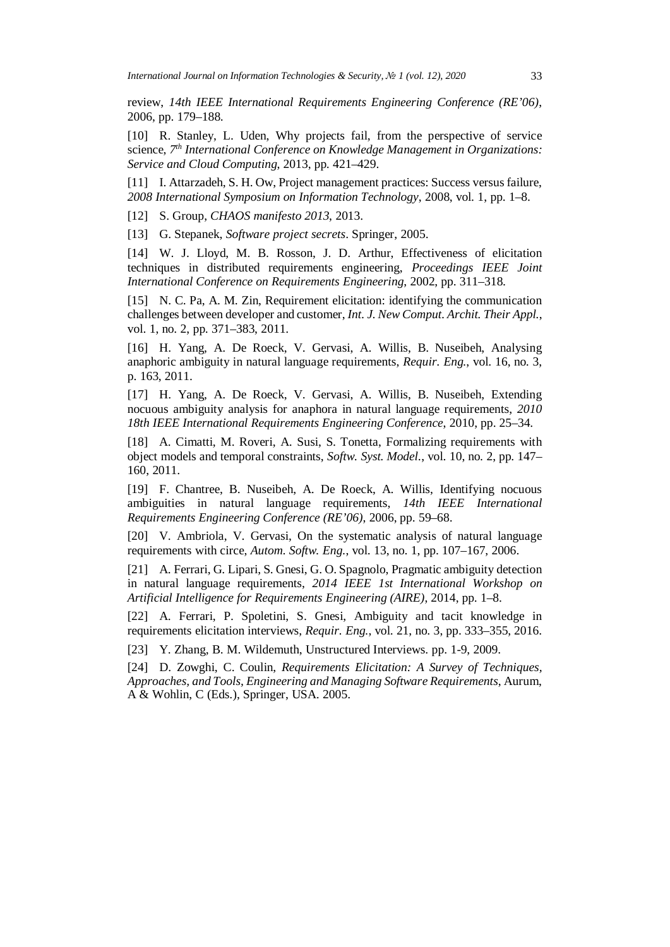review, *14th IEEE International Requirements Engineering Conference (RE'06)*, 2006, pp. 179–188.

[10] R. Stanley, L. Uden, Why projects fail, from the perspective of service science, *7th International Conference on Knowledge Management in Organizations: Service and Cloud Computing*, 2013, pp. 421–429.

[11] I. Attarzadeh, S. H. Ow, Project management practices: Success versus failure, *2008 International Symposium on Information Technology*, 2008, vol. 1, pp. 1–8.

[12] S. Group, *CHAOS manifesto 2013*, 2013.

[13] G. Stepanek, *Software project secrets*. Springer, 2005.

[14] W. J. Lloyd, M. B. Rosson, J. D. Arthur, Effectiveness of elicitation techniques in distributed requirements engineering, *Proceedings IEEE Joint International Conference on Requirements Engineering*, 2002, pp. 311–318.

[15] N. C. Pa, A. M. Zin, Requirement elicitation: identifying the communication challenges between developer and customer, *Int. J. New Comput. Archit. Their Appl.*, vol. 1, no. 2, pp. 371–383, 2011.

[16] H. Yang, A. De Roeck, V. Gervasi, A. Willis, B. Nuseibeh, Analysing anaphoric ambiguity in natural language requirements, *Requir. Eng.*, vol. 16, no. 3, p. 163, 2011.

[17] H. Yang, A. De Roeck, V. Gervasi, A. Willis, B. Nuseibeh, Extending nocuous ambiguity analysis for anaphora in natural language requirements, *2010 18th IEEE International Requirements Engineering Conference*, 2010, pp. 25–34.

[18] A. Cimatti, M. Roveri, A. Susi, S. Tonetta, Formalizing requirements with object models and temporal constraints, *Softw. Syst. Model.*, vol. 10, no. 2, pp. 147– 160, 2011.

[19] F. Chantree, B. Nuseibeh, A. De Roeck, A. Willis, Identifying nocuous ambiguities in natural language requirements, *14th IEEE International Requirements Engineering Conference (RE'06)*, 2006, pp. 59–68.

[20] V. Ambriola, V. Gervasi, On the systematic analysis of natural language requirements with circe, *Autom. Softw. Eng.*, vol. 13, no. 1, pp. 107–167, 2006.

[21] A. Ferrari, G. Lipari, S. Gnesi, G. O. Spagnolo, Pragmatic ambiguity detection in natural language requirements, *2014 IEEE 1st International Workshop on Artificial Intelligence for Requirements Engineering (AIRE)*, 2014, pp. 1–8.

[22] A. Ferrari, P. Spoletini, S. Gnesi, Ambiguity and tacit knowledge in requirements elicitation interviews, *Requir. Eng.*, vol. 21, no. 3, pp. 333–355, 2016.

[23] Y. Zhang, B. M. Wildemuth, Unstructured Interviews. pp. 1-9, 2009.

[24] D. Zowghi, C. Coulin, *Requirements Elicitation: A Survey of Techniques, Approaches, and Tools, Engineering and Managing Software Requirements*, Aurum, A & Wohlin, C (Eds.), Springer, USA. 2005.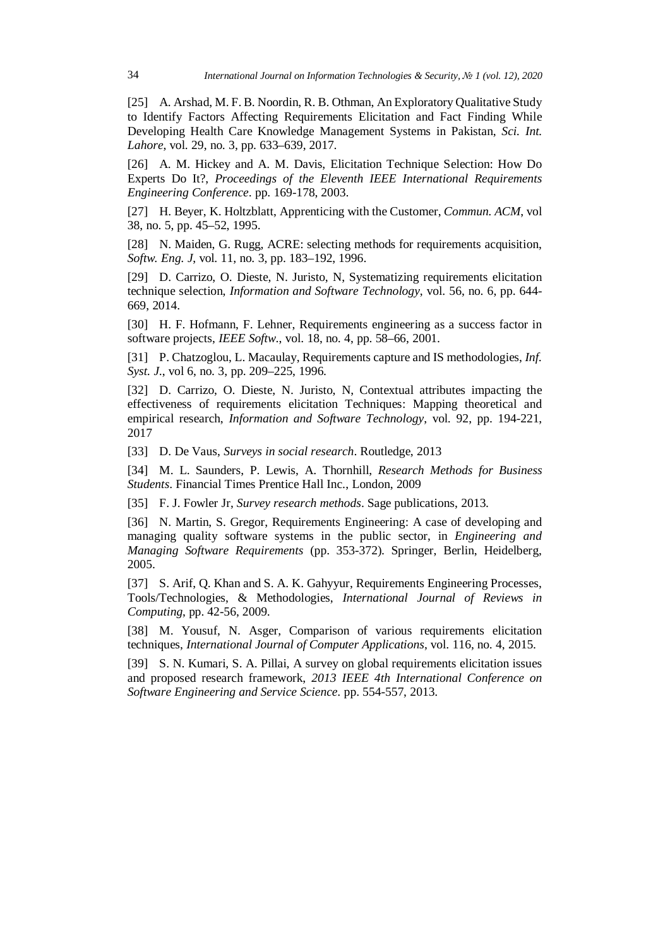[25] A. Arshad, M. F. B. Noordin, R. B. Othman, An Exploratory Qualitative Study to Identify Factors Affecting Requirements Elicitation and Fact Finding While Developing Health Care Knowledge Management Systems in Pakistan, *Sci. Int. Lahore*, vol. 29, no. 3, pp. 633–639, 2017.

[26] A. M. Hickey and A. M. Davis, Elicitation Technique Selection: How Do Experts Do It?, *Proceedings of the Eleventh IEEE International Requirements Engineering Conference*. pp. 169-178, 2003.

[27] H. Beyer, K. Holtzblatt, Apprenticing with the Customer, *Commun. ACM*, vol 38, no. 5, pp. 45–52, 1995.

[28] N. Maiden, G. Rugg, ACRE: selecting methods for requirements acquisition, *Softw. Eng. J*, vol. 11, no. 3, pp. 183–192, 1996.

[29] D. Carrizo, O. Dieste, N. Juristo, N, Systematizing requirements elicitation technique selection, *Information and Software Technology*, vol. 56, no. 6, pp. 644- 669, 2014.

[30] H. F. Hofmann, F. Lehner, Requirements engineering as a success factor in software projects, *IEEE Softw*., vol. 18, no. 4, pp. 58–66, 2001.

[31] P. Chatzoglou, L. Macaulay, Requirements capture and IS methodologies, *Inf. Syst. J.*, vol 6, no. 3, pp. 209–225, 1996.

[32] D. Carrizo, O. Dieste, N. Juristo, N, Contextual attributes impacting the effectiveness of requirements elicitation Techniques: Mapping theoretical and empirical research, *Information and Software Technology*, vol. 92, pp. 194-221, 2017

[33] D. De Vaus, *Surveys in social research*. Routledge, 2013

[34] M. L. Saunders, P. Lewis, A. Thornhill, *Research Methods for Business Students*. Financial Times Prentice Hall Inc., London, 2009

[35] F. J. Fowler Jr, *Survey research methods*. Sage publications, 2013.

[36] N. Martin, S. Gregor, Requirements Engineering: A case of developing and managing quality software systems in the public sector, in *Engineering and Managing Software Requirements* (pp. 353-372). Springer, Berlin, Heidelberg, 2005.

[37] S. Arif, Q. Khan and S. A. K. Gahyyur, Requirements Engineering Processes, Tools/Technologies, & Methodologies, *International Journal of Reviews in Computing*, pp. 42-56, 2009.

[38] M. Yousuf, N. Asger, Comparison of various requirements elicitation techniques, *International Journal of Computer Applications*, vol. 116, no. 4, 2015.

[39] S. N. Kumari, S. A. Pillai, A survey on global requirements elicitation issues and proposed research framework, *2013 IEEE 4th International Conference on Software Engineering and Service Science*. pp. 554-557, 2013.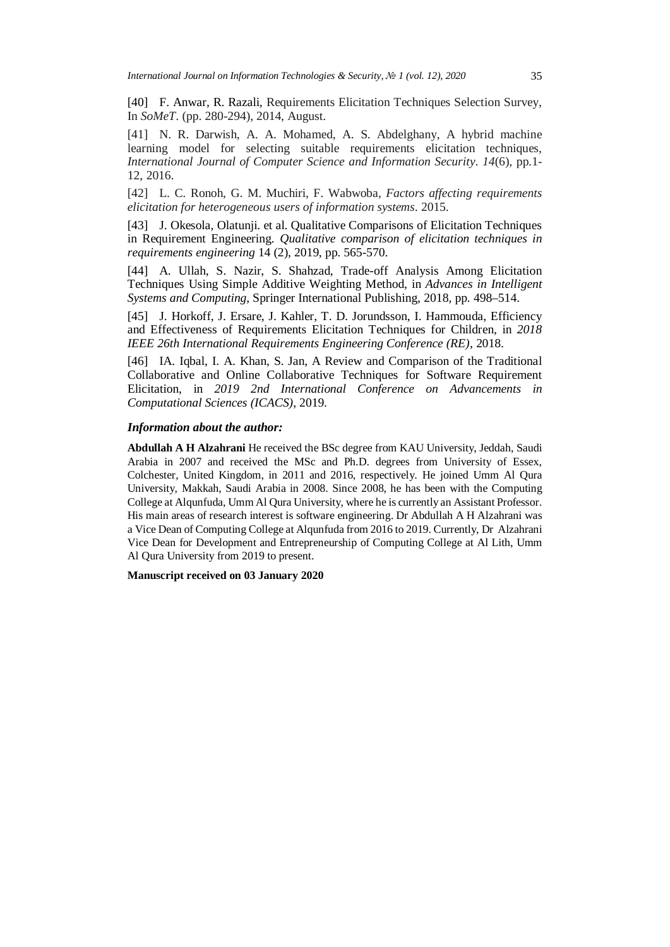[40] F. Anwar, R. Razali, Requirements Elicitation Techniques Selection Survey, In *SoMeT*. (pp. 280-294), 2014, August.

[41] N. R. Darwish, A. A. Mohamed, A. S. Abdelghany, A hybrid machine learning model for selecting suitable requirements elicitation techniques, *International Journal of Computer Science and Information Security*. *14*(6), pp.1- 12, 2016.

[42] L. C. Ronoh, G. M. Muchiri, F. Wabwoba, *Factors affecting requirements elicitation for heterogeneous users of information systems*. 2015.

[43] J. Okesola, Olatunji. et al. Qualitative Comparisons of Elicitation Techniques in Requirement Engineering. *Qualitative comparison of elicitation techniques in requirements engineering* 14 (2), 2019, pp. 565-570.

[44] A. Ullah, S. Nazir, S. Shahzad, Trade-off Analysis Among Elicitation Techniques Using Simple Additive Weighting Method, in *Advances in Intelligent Systems and Computing*, Springer International Publishing, 2018, pp. 498–514.

[45] J. Horkoff, J. Ersare, J. Kahler, T. D. Jorundsson, I. Hammouda, Efficiency and Effectiveness of Requirements Elicitation Techniques for Children, in *2018 IEEE 26th International Requirements Engineering Conference (RE)*, 2018.

[46] IA. Iqbal, I. A. Khan, S. Jan, A Review and Comparison of the Traditional Collaborative and Online Collaborative Techniques for Software Requirement Elicitation, in *2019 2nd International Conference on Advancements in Computational Sciences (ICACS)*, 2019.

#### *Information about the author:*

**Abdullah A H Alzahrani** He received the BSc degree from KAU University, Jeddah, Saudi Arabia in 2007 and received the MSc and Ph.D. degrees from University of Essex, Colchester, United Kingdom, in 2011 and 2016, respectively. He joined Umm Al Qura University, Makkah, Saudi Arabia in 2008. Since 2008, he has been with the Computing College at Alqunfuda, Umm Al Qura University, where he is currently an Assistant Professor. His main areas of research interest is software engineering. Dr Abdullah A H Alzahrani was a Vice Dean of Computing College at Alqunfuda from 2016 to 2019. Currently, Dr Alzahrani Vice Dean for Development and Entrepreneurship of Computing College at Al Lith, Umm Al Qura University from 2019 to present.

#### **Manuscript received on 03 January 2020**